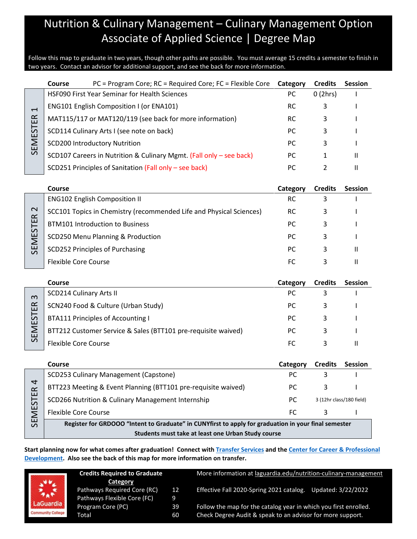## Nutrition & Culinary Management – Culinary Management Option Associate of Applied Science | Degree Map

Follow this map to graduate in two years, though other paths are possible. You must average 15 credits a semester to finish in two years. Contact an advisor for additional support, and see the back for more information.

|                                             | PC = Program Core; RC = Required Core; FC = Flexible Core<br>Course                                                                 | Category       | <b>Credits</b>      | <b>Session</b>           |
|---------------------------------------------|-------------------------------------------------------------------------------------------------------------------------------------|----------------|---------------------|--------------------------|
| $\overline{\phantom{0}}$<br><b>SEMESTER</b> | HSF090 First Year Seminar for Health Sciences                                                                                       | PC             | 0(2hrs)             |                          |
|                                             | <b>ENG101 English Composition I (or ENA101)</b>                                                                                     | <b>RC</b>      | 3                   |                          |
|                                             | MAT115/117 or MAT120/119 (see back for more information)                                                                            | <b>RC</b>      | 3                   |                          |
|                                             | SCD114 Culinary Arts I (see note on back)                                                                                           | PC             | 3                   |                          |
|                                             | <b>SCD200 Introductory Nutrition</b>                                                                                                | PC             | 3                   |                          |
|                                             | SCD107 Careers in Nutrition & Culinary Mgmt. (Fall only - see back)                                                                 | PC             | 1                   | Ш                        |
|                                             | SCD251 Principles of Sanitation (Fall only - see back)                                                                              | PC             | $\overline{2}$      | Ш                        |
|                                             | Course                                                                                                                              | Category       | <b>Credits</b>      | <b>Session</b>           |
|                                             | <b>ENG102 English Composition II</b>                                                                                                | <b>RC</b>      | 3                   |                          |
| $\mathbf 2$                                 | SCC101 Topics in Chemistry (recommended Life and Physical Sciences)                                                                 | <b>RC</b>      | 3                   |                          |
| SEMESTER                                    | <b>BTM101 Introduction to Business</b>                                                                                              | PC.            | 3                   |                          |
|                                             | SCD250 Menu Planning & Production                                                                                                   | PC             | 3                   |                          |
|                                             | <b>SCD252 Principles of Purchasing</b>                                                                                              | <b>PC</b>      | 3                   | $\mathbf{H}$             |
|                                             | <b>Flexible Core Course</b>                                                                                                         | FC             | 3                   | Ш                        |
|                                             | Course                                                                                                                              | Category       | <b>Credits</b>      | <b>Session</b>           |
| $\omega$<br><b>SEMESTER</b>                 | <b>SCD214 Culinary Arts II</b>                                                                                                      | PC             | 3                   |                          |
|                                             | SCN240 Food & Culture (Urban Study)                                                                                                 | PC.            | 3                   |                          |
|                                             | <b>BTA111 Principles of Accounting I</b>                                                                                            | PC             | 3                   |                          |
|                                             | BTT212 Customer Service & Sales (BTT101 pre-requisite waived)                                                                       | <b>PC</b>      | 3                   |                          |
|                                             | <b>Flexible Core Course</b>                                                                                                         | FC             | 3                   | Ш                        |
|                                             |                                                                                                                                     |                |                     |                          |
|                                             | Course<br>SCD253 Culinary Management (Capstone)                                                                                     | Category<br>PC | <b>Credits</b><br>3 | <b>Session</b>           |
| <b>SEMESTER</b>                             |                                                                                                                                     |                |                     |                          |
|                                             | BTT223 Meeting & Event Planning (BTT101 pre-requisite waived)                                                                       | PC             | 3                   |                          |
|                                             |                                                                                                                                     | PC             |                     | 3 (12hr class/180 field) |
|                                             | SCD266 Nutrition & Culinary Management Internship                                                                                   |                |                     |                          |
|                                             | <b>Flexible Core Course</b><br>Register for GRDOOO "Intent to Graduate" in CUNYfirst to apply for graduation in your final semester | FC             | 3                   |                          |

**Start planning now for what comes after graduation! Connect with [Transfer Services](https://www.laguardia.edu/transferservices/) and the [Center for Career & Professional](https://www.laguardia.edu/careerservices/)  [Development.](https://www.laguardia.edu/careerservices/) Also see the back of this map for more information on transfer.**



| <b>Credits Required to Graduate</b> |    |  |  |  |
|-------------------------------------|----|--|--|--|
| Category                            |    |  |  |  |
| Pathways Required Core (RC)         | 12 |  |  |  |
| Pathways Flexible Core (FC)         | 9  |  |  |  |
| Program Core (PC)                   | 39 |  |  |  |
| Total                               | 60 |  |  |  |

More information at [laguardia.edu/nutrition-culinary-management](https://cuny907-my.sharepoint.com/personal/joshua_goldblatt12_login_cuny_edu/Documents/Degree%20Maps%20&%20Curriculum/HS/laguardia.edu/nutrition-culinary-management) Effective Fall 2020-Spring 2021 catalog. Updated: 3/22/2022

Follow the map for the catalog year in which you first enrolled. Check Degree Audit & speak to an advisor for more support.